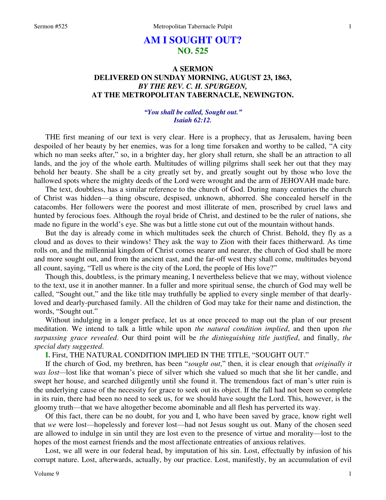# **AM I SOUGHT OUT? NO. 525**

## **A SERMON DELIVERED ON SUNDAY MORNING, AUGUST 23, 1863,**  *BY THE REV. C. H. SPURGEON,*  **AT THE METROPOLITAN TABERNACLE, NEWINGTON.**

### *"You shall be called, Sought out." Isaiah 62:12.*

THE first meaning of our text is very clear. Here is a prophecy, that as Jerusalem, having been despoiled of her beauty by her enemies, was for a long time forsaken and worthy to be called, "A city which no man seeks after," so, in a brighter day, her glory shall return, she shall be an attraction to all lands, and the joy of the whole earth. Multitudes of willing pilgrims shall seek her out that they may behold her beauty. She shall be a city greatly set by, and greatly sought out by those who love the hallowed spots where the mighty deeds of the Lord were wrought and the arm of JEHOVAH made bare.

The text, doubtless, has a similar reference to the church of God. During many centuries the church of Christ was hidden—a thing obscure, despised, unknown, abhorred. She concealed herself in the catacombs. Her followers were the poorest and most illiterate of men, proscribed by cruel laws and hunted by ferocious foes. Although the royal bride of Christ, and destined to be the ruler of nations, she made no figure in the world's eye. She was but a little stone cut out of the mountain without hands.

But the day is already come in which multitudes seek the church of Christ. Behold, they fly as a cloud and as doves to their windows! They ask the way to Zion with their faces thitherward. As time rolls on, and the millennial kingdom of Christ comes nearer and nearer, the church of God shall be more and more sought out, and from the ancient east, and the far-off west they shall come, multitudes beyond all count, saying, "Tell us where is the city of the Lord, the people of His love?"

Though this, doubtless, is the primary meaning, I nevertheless believe that we may, without violence to the text, use it in another manner. In a fuller and more spiritual sense, the church of God may well be called, "Sought out," and the like title may truthfully be applied to every single member of that dearlyloved and dearly-purchased family. All the children of God may take for their name and distinction, the words, "Sought out."

Without indulging in a longer preface, let us at once proceed to map out the plan of our present meditation. We intend to talk a little while upon *the natural condition implied*, and then upon *the surpassing grace revealed*. Our third point will be *the distinguishing title justified*, and finally, *the special duty suggested*.

**I.** First, THE NATURAL CONDITION IMPLIED IN THE TITLE, "SOUGHT OUT."

If the church of God, my brethren, has been "*sought out*," then, it is clear enough that *originally it was lost—*lost like that woman's piece of silver which she valued so much that she lit her candle, and swept her house, and searched diligently until she found it. The tremendous fact of man's utter ruin is the underlying cause of the necessity for grace to seek out its object. If the fall had not been so complete in its ruin, there had been no need to seek us, for we should have sought the Lord. This, however, is the gloomy truth—that we have altogether become abominable and all flesh has perverted its way.

Of this fact, there can be no doubt, for you and I, who have been saved by grace, know right well that *we* were lost—hopelessly and forever lost—had not Jesus sought us out. Many of the chosen seed are allowed to indulge in sin until they are lost even to the presence of virtue and morality—lost to the hopes of the most earnest friends and the most affectionate entreaties of anxious relatives.

Lost, we all were in our federal head, by imputation of his sin. Lost, effectually by infusion of his corrupt nature. Lost, afterwards, actually, by our practice. Lost, manifestly, by an accumulation of evil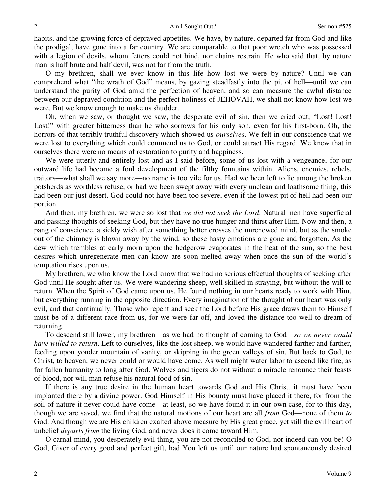habits, and the growing force of depraved appetites. We have, by nature, departed far from God and like the prodigal, have gone into a far country. We are comparable to that poor wretch who was possessed with a legion of devils, whom fetters could not bind, nor chains restrain. He who said that, by nature man is half brute and half devil, was not far from the truth.

O my brethren, shall we ever know in this life how lost we were by nature? Until we can comprehend what "the wrath of God" means, by gazing steadfastly into the pit of hell—until we can understand the purity of God amid the perfection of heaven, and so can measure the awful distance between our depraved condition and the perfect holiness of JEHOVAH, we shall not know how lost we were. But we know enough to make us shudder.

Oh, when we saw, or thought we saw, the desperate evil of sin, then we cried out, "Lost! Lost! Lost!" with greater bitterness than he who sorrows for his only son, even for his first-born. Oh, the horrors of that terribly truthful discovery which showed us *ourselves*. We felt in our conscience that we were lost to everything which could commend us to God, or could attract His regard. We knew that in ourselves there were no means of restoration to purity and happiness.

We were utterly and entirely lost and as I said before, some of us lost with a vengeance, for our outward life had become a foul development of the filthy fountains within. Aliens, enemies, rebels, traitors—what shall we say more—no name is too vile for us. Had we been left to lie among the broken potsherds as worthless refuse, or had we been swept away with every unclean and loathsome thing, this had been our just desert. God could not have been too severe, even if the lowest pit of hell had been our portion.

And then, my brethren, we were so lost that *we did not seek the Lord*. Natural men have superficial and passing thoughts of seeking God, but they have no true hunger and thirst after Him. Now and then, a pang of conscience, a sickly wish after something better crosses the unrenewed mind, but as the smoke out of the chimney is blown away by the wind, so these hasty emotions are gone and forgotten. As the dew which trembles at early morn upon the hedgerow evaporates in the heat of the sun, so the best desires which unregenerate men can know are soon melted away when once the sun of the world's temptation rises upon us.

My brethren, we who know the Lord know that we had no serious effectual thoughts of seeking after God until He sought after us. We were wandering sheep, well skilled in straying, but without the will to return. When the Spirit of God came upon us, He found nothing in our hearts ready to work with Him, but everything running in the opposite direction. Every imagination of the thought of our heart was only evil, and that continually. Those who repent and seek the Lord before His grace draws them to Himself must be of a different race from us, for we were far off, and loved the distance too well to dream of returning.

To descend still lower, my brethren—as we had no thought of coming to God—*so we never would have willed to return*. Left to ourselves, like the lost sheep, we would have wandered farther and farther, feeding upon yonder mountain of vanity, or skipping in the green valleys of sin. But back to God, to Christ, to heaven, we never could or would have come. As well might water labor to ascend like fire, as for fallen humanity to long after God. Wolves and tigers do not without a miracle renounce their feasts of blood, nor will man refuse his natural food of sin.

If there is any true desire in the human heart towards God and His Christ, it must have been implanted there by a divine power. God Himself in His bounty must have placed it there, for from the soil of nature it never could have come—at least, so we have found it in our own case, for to this day, though we are saved, we find that the natural motions of our heart are all *from* God—none of them *to*  God. And though we are His children exalted above measure by His great grace, yet still the evil heart of unbelief *departs from* the living God, and never does it come toward Him.

O carnal mind, you desperately evil thing, you are not reconciled to God, nor indeed can you be! O God, Giver of every good and perfect gift, had You left us until our nature had spontaneously desired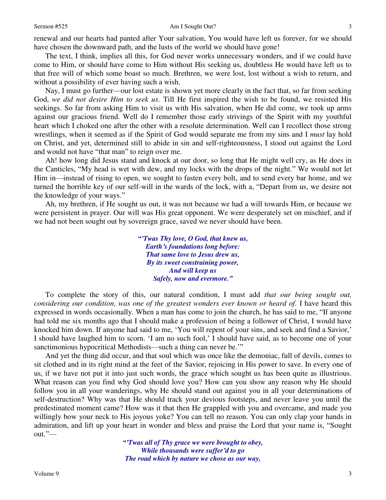renewal and our hearts had panted after Your salvation, You would have left us forever, for we should have chosen the downward path, and the lusts of the world we should have gone!

The text, I think, implies all this, for God never works unnecessary wonders, and if we could have come to Him, or should have come to Him without His seeking us, doubtless He would have left us to that free will of which some boast so much. Brethren, we were lost, lost without a wish to return, and without a possibility of ever having such a wish.

Nay, I must go further—our lost estate is shown yet more clearly in the fact that, so far from seeking God, *we did not desire Him to seek us.* Till He first inspired the wish to be found, we resisted His seekings. So far from asking Him to visit us with His salvation, when He did come, we took up arms against our gracious friend. Well do I remember those early strivings of the Spirit with my youthful heart which I choked one after the other with a resolute determination. Well can I recollect those strong wrestlings, when it seemed as if the Spirit of God would separate me from my sins and I *must* lay hold on Christ, and yet, determined still to abide in sin and self-righteousness, I stood out against the Lord and would not have "that man" to reign over me.

Ah! how long did Jesus stand and knock at our door, so long that He might well cry, as He does in the Canticles, "My head is wet with dew, and my locks with the drops of the night." We would not let Him in—instead of rising to open, we sought to fasten every bolt, and to send every bar home, and we turned the horrible key of our self-will in the wards of the lock, with a, "Depart from us, we desire not the knowledge of your ways."

Ah, my brethren, if He sought us out, it was not because we had a will towards Him, or because we were persistent in prayer. Our will was His great opponent. We were desperately set on mischief, and if we had not been sought out by sovereign grace, saved we never should have been.

> *"'Twas Thy love, O God, that knew us, Earth's foundations long before: That same love to Jesus drew us, By its sweet constraining power, And will keep us Safely, now and evermore."*

To complete the story of this, our natural condition, I must add *that our being sought out, considering our condition, was one of the greatest wonders ever known or heard of.* I have heard this expressed in words occasionally. When a man has come to join the church, he has said to me, "If anyone had told me six months ago that I should make a profession of being a follower of Christ, I would have knocked him down. If anyone had said to me, 'You will repent of your sins, and seek and find a Savior,' I should have laughed him to scorn. 'I am no such fool,' I should have said, as to become one of your sanctimonious hypocritical Methodists—such a thing can never be.""

And yet the thing did occur, and that soul which was once like the demoniac, full of devils, comes to sit clothed and in its right mind at the feet of the Savior, rejoicing in His power to save. In every one of us, if we have not put it into just such words, the grace which sought us has been quite as illustrious. What reason can you find why God should love you? How can you show any reason why He should follow you in all your wanderings, why He should stand out against you in all your determinations of self-destruction? Why was that He should track your devious footsteps, and never leave you until the predestinated moment came? How was it that then He grappled with you and overcame, and made you willingly bow your neck to His joyous yoke? You can tell no reason. You can only clap your hands in admiration, and lift up your heart in wonder and bless and praise the Lord that your name is, "Sought out."—

> *"'Twas all of Thy grace we were brought to obey, While thousands were suffer'd to go The road which by nature we chose as our way,*

3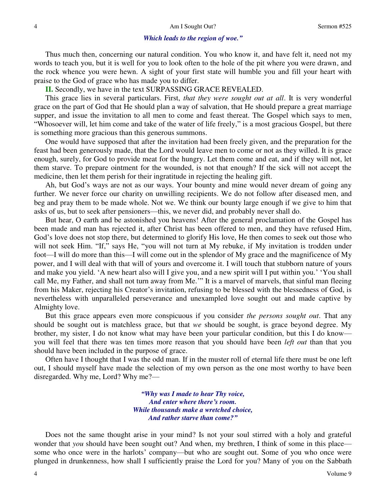#### *Which leads to the region of woe."*

Thus much then, concerning our natural condition. You who know it, and have felt it, need not my words to teach you, but it is well for you to look often to the hole of the pit where you were drawn, and the rock whence you were hewn. A sight of your first state will humble you and fill your heart with praise to the God of grace who has made you to differ.

**II.** Secondly, we have in the text SURPASSING GRACE REVEALED.

This grace lies in several particulars. First, *that they were sought out at all*. It is very wonderful grace on the part of God that He should plan a way of salvation, that He should prepare a great marriage supper, and issue the invitation to all men to come and feast thereat. The Gospel which says to men, "Whosoever will, let him come and take of the water of life freely," is a most gracious Gospel, but there is something more gracious than this generous summons.

One would have supposed that after the invitation had been freely given, and the preparation for the feast had been generously made, that the Lord would leave men to come or not as they willed. It is grace enough, surely, for God to provide meat for the hungry. Let them come and eat, and if they will not, let them starve. To prepare ointment for the wounded, is not that enough? If the sick will not accept the medicine, then let them perish for their ingratitude in rejecting the healing gift.

Ah, but God's ways are not as our ways. Your bounty and mine would never dream of going any further. We never force our charity on unwilling recipients. We do not follow after diseased men, and beg and pray them to be made whole. Not we. We think our bounty large enough if we give to him that asks of us, but to seek after pensioners—this, we never did, and probably never shall do.

But hear, O earth and be astonished you heavens! After the general proclamation of the Gospel has been made and man has rejected it, after Christ has been offered to men, and they have refused Him, God's love does not stop there, but determined to glorify His love, He then comes to seek out those who will not seek Him. "If," says He, "you will not turn at My rebuke, if My invitation is trodden under foot—I will do more than this—I will come out in the splendor of My grace and the magnificence of My power, and I will deal with that will of yours and overcome it. I will touch that stubborn nature of yours and make you yield. 'A new heart also will I give you, and a new spirit will I put within you.' 'You shall call Me, my Father, and shall not turn away from Me.'" It is a marvel of marvels, that sinful man fleeing from his Maker, rejecting his Creator's invitation, refusing to be blessed with the blessedness of God, is nevertheless with unparalleled perseverance and unexampled love sought out and made captive by Almighty love.

But this grace appears even more conspicuous if you consider *the persons sought out*. That any should be sought out is matchless grace, but that *we* should be sought, is grace beyond degree. My brother, my sister, I do not know what may have been your particular condition, but this I do know you will feel that there was ten times more reason that you should have been *left out* than that you should have been included in the purpose of grace.

Often have I thought that I was the odd man. If in the muster roll of eternal life there must be one left out, I should myself have made the selection of my own person as the one most worthy to have been disregarded. Why me, Lord? Why me?—

> *"Why was I made to hear Thy voice, And enter where there's room. While thousands make a wretched choice, And rather starve than come?"*

Does not the same thought arise in your mind? Is not your soul stirred with a holy and grateful wonder that *you* should have been sought out? And when, my brethren, I think of some in this place some who once were in the harlots' company—but who are sought out. Some of you who once were plunged in drunkenness, how shall I sufficiently praise the Lord for you? Many of you on the Sabbath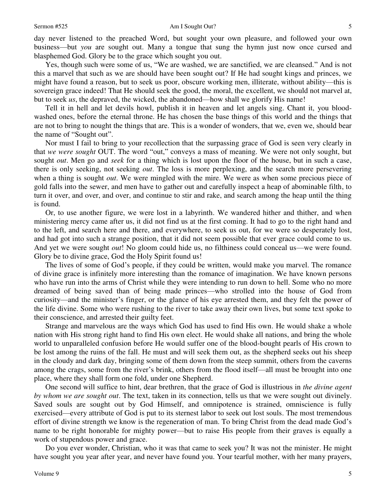day never listened to the preached Word, but sought your own pleasure, and followed your own business—but *you* are sought out. Many a tongue that sung the hymn just now once cursed and blasphemed God. Glory be to the grace which sought you out.

Yes, though such were some of us, "We are washed, we are sanctified, we are cleansed." And is not this a marvel that such as we are should have been sought out? If He had sought kings and princes, we might have found a reason, but to seek us poor, obscure working men, illiterate, without ability—this is sovereign grace indeed! That He should seek the good, the moral, the excellent, we should not marvel at, but to seek *us*, the depraved, the wicked, the abandoned—how shall we glorify His name!

Tell it in hell and let devils howl, publish it in heaven and let angels sing. Chant it, you bloodwashed ones, before the eternal throne. He has chosen the base things of this world and the things that are not to bring to nought the things that are. This is a wonder of wonders, that we, even we, should bear the name of "Sought out".

Nor must I fail to bring to your recollection that the surpassing grace of God is seen very clearly in that *we were sought* OUT. The word "out," conveys a mass of meaning. We were not only sought, but sought *out*. Men go and *seek* for a thing which is lost upon the floor of the house, but in such a case, there is only seeking, not seeking *out*. The loss is more perplexing, and the search more persevering when a thing is sought *out*. We were mingled with the mire. We were as when some precious piece of gold falls into the sewer, and men have to gather out and carefully inspect a heap of abominable filth, to turn it over, and over, and over, and continue to stir and rake, and search among the heap until the thing is found.

Or, to use another figure, we were lost in a labyrinth. We wandered hither and thither, and when ministering mercy came after us, it did not find us at the first coming. It had to go to the right hand and to the left, and search here and there, and everywhere, to seek us out, for we were so desperately lost, and had got into such a strange position, that it did not seem possible that ever grace could come to us. And yet we were sought *out*! No gloom could hide us, no filthiness could conceal us—we were found. Glory be to divine grace, God the Holy Spirit found us!

The lives of some of God's people, if they could be written, would make you marvel. The romance of divine grace is infinitely more interesting than the romance of imagination. We have known persons who have run into the arms of Christ while they were intending to run down to hell. Some who no more dreamed of being saved than of being made princes—who strolled into the house of God from curiosity—and the minister's finger, or the glance of his eye arrested them, and they felt the power of the life divine. Some who were rushing to the river to take away their own lives, but some text spoke to their conscience, and arrested their guilty feet.

Strange and marvelous are the ways which God has used to find His own. He would shake a whole nation with His strong right hand to find His own elect. He would shake all nations, and bring the whole world to unparalleled confusion before He would suffer one of the blood-bought pearls of His crown to be lost among the ruins of the fall. He must and will seek them out, as the shepherd seeks out his sheep in the cloudy and dark day, bringing some of them down from the steep summit, others from the caverns among the crags, some from the river's brink, others from the flood itself—all must be brought into one place, where they shall form one fold, under one Shepherd.

One second will suffice to hint, dear brethren, that the grace of God is illustrious in *the divine agent by whom we are sought out*. The text, taken in its connection, tells us that we were sought out divinely. Saved souls are sought out by God Himself, and omnipotence is strained, omniscience is fully exercised—every attribute of God is put to its sternest labor to seek out lost souls. The most tremendous effort of divine strength we know is the regeneration of man. To bring Christ from the dead made God's name to be right honorable for mighty power—but to raise His people from their graves is equally a work of stupendous power and grace.

Do you ever wonder, Christian, who it was that came to seek you? It was not the minister. He might have sought you year after year, and never have found you. Your tearful mother, with her many prayers,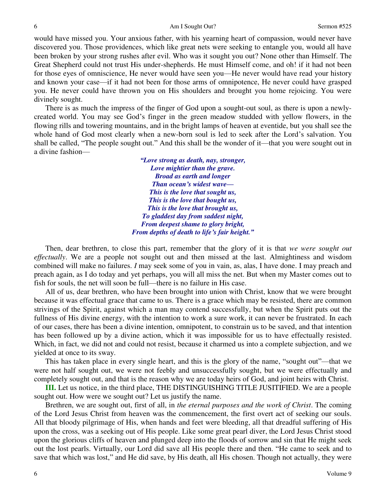would have missed you. Your anxious father, with his yearning heart of compassion, would never have discovered you. Those providences, which like great nets were seeking to entangle you, would all have been broken by your strong rushes after evil. Who was it sought you out? None other than Himself. The Great Shepherd could not trust His under-shepherds. He must Himself come, and oh! if it had not been for those eyes of omniscience, He never would have seen you—He never would have read your history and known your case—if it had not been for those arms of omnipotence, He never could have grasped you. He never could have thrown you on His shoulders and brought you home rejoicing. You were divinely sought.

There is as much the impress of the finger of God upon a sought-out soul, as there is upon a newlycreated world. You may see God's finger in the green meadow studded with yellow flowers, in the flowing rills and towering mountains, and in the bright lamps of heaven at eventide, but you shall see the whole hand of God most clearly when a new-born soul is led to seek after the Lord's salvation. You shall be called, "The people sought out." And this shall be the wonder of it—that you were sought out in a divine fashion—

> *"Love strong as death, nay, stronger, Love mightier than the grave. Broad as earth and longer Than ocean's widest wave— This is the love that sought us, This is the love that bought us, This is the love that brought us, To gladdest day from saddest night, From deepest shame to glory bright, From depths of death to life's fair height."*

Then, dear brethren, to close this part, remember that the glory of it is that *we were sought out effectually*. We are a people not sought out and then missed at the last. Almightiness and wisdom combined will make no failures. *I* may seek some of you in vain, as, alas, I have done. I may preach and preach again, as I do today and yet perhaps, you will all miss the net. But when my Master comes out to fish for souls, the net will soon be full—there is no failure in His case.

All of us, dear brethren, who have been brought into union with Christ, know that we were brought because it was effectual grace that came to us. There is a grace which may be resisted, there are common strivings of the Spirit, against which a man may contend successfully, but when the Spirit puts out the fullness of His divine energy, with the intention to work a sure work, it can never be frustrated. In each of our cases, there has been a divine intention, omnipotent, to constrain us to be saved, and that intention has been followed up by a divine action, which it was impossible for us to have effectually resisted. Which, in fact, we did not and could not resist, because it charmed us into a complete subjection, and we yielded at once to its sway.

This has taken place in every single heart, and this is the glory of the name, "sought out"—that we were not half sought out, we were not feebly and unsuccessfully sought, but we were effectually and completely sought out, and that is the reason why we are today heirs of God, and joint heirs with Christ.

**III.** Let us notice, in the third place, THE DISTINGUISHING TITLE JUSITIFIED. We are a people sought out. How were we sought out? Let us justify the name.

Brethren, we are sought out, first of all, in *the eternal purposes and the work of Christ*. The coming of the Lord Jesus Christ from heaven was the commencement, the first overt act of seeking our souls. All that bloody pilgrimage of His, when hands and feet were bleeding, all that dreadful suffering of His upon the cross, was a seeking out of His people. Like some great pearl diver, the Lord Jesus Christ stood upon the glorious cliffs of heaven and plunged deep into the floods of sorrow and sin that He might seek out the lost pearls. Virtually, our Lord did save all His people there and then. "He came to seek and to save that which was lost," and He did save, by His death, all His chosen. Though not actually, they were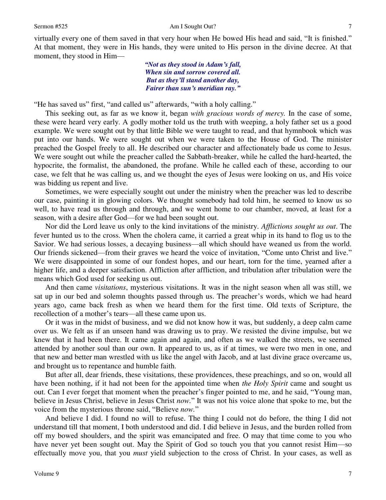virtually every one of them saved in that very hour when He bowed His head and said, "It is finished." At that moment, they were in His hands, they were united to His person in the divine decree. At that moment, they stood in Him—

> *"Not as they stood in Adam's fall, When sin and sorrow covered all. But as they'll stand another day, Fairer than sun's meridian ray."*

"He has saved us" first, "and called us" afterwards, "with a holy calling."

This seeking out, as far as we know it, began *with gracious words of mercy.* In the case of some, these were heard very early. A godly mother told us the truth with weeping, a holy father set us a good example. We were sought out by that little Bible we were taught to read, and that hymnbook which was put into our hands. We were sought out when we were taken to the House of God. The minister preached the Gospel freely to all. He described our character and affectionately bade us come to Jesus. We were sought out while the preacher called the Sabbath-breaker, while he called the hard-hearted, the hypocrite, the formalist, the abandoned, the profane. While he called each of these, according to our case, we felt that he was calling us, and we thought the eyes of Jesus were looking on us, and His voice was bidding us repent and live.

Sometimes, we were especially sought out under the ministry when the preacher was led to describe our case, painting it in glowing colors. We thought somebody had told him, he seemed to know us so well, to have read us through and through, and we went home to our chamber, moved, at least for a season, with a desire after God—for we had been sought out.

Nor did the Lord leave us only to the kind invitations of the ministry. *Afflictions sought us out*. The fever hunted us to the cross. When the cholera came, it carried a great whip in its hand to flog us to the Savior. We had serious losses, a decaying business—all which should have weaned us from the world. Our friends sickened—from their graves we heard the voice of invitation, "Come unto Christ and live." We were disappointed in some of our fondest hopes, and our heart, torn for the time, yearned after a higher life, and a deeper satisfaction. Affliction after affliction, and tribulation after tribulation were the means which God used for seeking us out.

And then came *visitations*, mysterious visitations. It was in the night season when all was still, we sat up in our bed and solemn thoughts passed through us. The preacher's words, which we had heard years ago, came back fresh as when we heard them for the first time. Old texts of Scripture, the recollection of a mother's tears—all these came upon us.

Or it was in the midst of business, and we did not know how it was, but suddenly, a deep calm came over us. We felt as if an unseen hand was drawing us to pray. We resisted the divine impulse, but we knew that it had been there. It came again and again, and often as we walked the streets, we seemed attended by another soul than our own. It appeared to us, as if at times, we were two men in one, and that new and better man wrestled with us like the angel with Jacob, and at last divine grace overcame us, and brought us to repentance and humble faith.

But after all, dear friends, these visitations, these providences, these preachings, and so on, would all have been nothing, if it had not been for the appointed time when *the Holy Spirit* came and sought us out. Can I ever forget that moment when the preacher's finger pointed to me, and he said, "Young man, believe in Jesus Christ, believe in Jesus Christ *now.*" It was not his voice alone that spoke to me, but the voice from the mysterious throne said, "Believe *now.*"

And believe I did. I found no will to refuse. The thing I could not do before, the thing I did not understand till that moment, I both understood and did. I did believe in Jesus, and the burden rolled from off my bowed shoulders, and the spirit was emancipated and free. O may that time come to you who have never yet been sought out. May the Spirit of God so touch you that you cannot resist Him—so effectually move you, that you *must* yield subjection to the cross of Christ. In your cases, as well as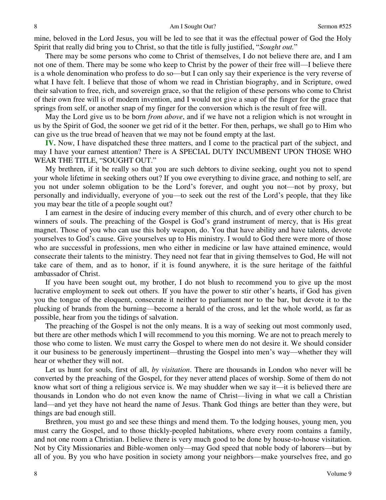mine, beloved in the Lord Jesus, you will be led to see that it was the effectual power of God the Holy Spirit that really did bring you to Christ, so that the title is fully justified, "*Sought out.*"

There may be some persons who come to Christ of themselves, I do not believe there are, and I am not one of them. There may be some who keep to Christ by the power of their free will—I believe there is a whole denomination who profess to do so—but I can only say their experience is the very reverse of what I have felt. I believe that those of whom we read in Christian biography, and in Scripture, owed their salvation to free, rich, and sovereign grace, so that the religion of these persons who come to Christ of their own free will is of modern invention, and I would not give a snap of the finger for the grace that springs from self, or another snap of my finger for the conversion which is the result of free will.

May the Lord give us to be born *from above*, and if we have not a religion which is not wrought in us by the Spirit of God, the sooner we get rid of it the better. For then, perhaps, we shall go to Him who can give us the true bread of heaven that we may not be found empty at the last.

**IV.** Now, I have dispatched these three matters, and I come to the practical part of the subject, and may I have your earnest attention? There is A SPECIAL DUTY INCUMBENT UPON THOSE WHO WEAR THE TITLE, "SOUGHT OUT."

My brethren, if it be really so that you are such debtors to divine seeking, ought you not to spend your whole lifetime in seeking others out? If you owe everything to divine grace, and nothing to self, are you not under solemn obligation to be the Lord's forever, and ought you not—not by proxy, but personally and individually, everyone of you—to seek out the rest of the Lord's people, that they like you may bear the title of a people sought out?

I am earnest in the desire of inducing every member of this church, and of every other church to be winners of souls. The preaching of the Gospel is God's grand instrument of mercy, that is His great magnet. Those of you who can use this holy weapon, do. You that have ability and have talents, devote yourselves to God's cause. Give yourselves up to His ministry. I would to God there were more of those who are successful in professions, men who either in medicine or law have attained eminence, would consecrate their talents to the ministry. They need not fear that in giving themselves to God, He will not take care of them, and as to honor, if it is found anywhere, it is the sure heritage of the faithful ambassador of Christ.

If you have been sought out, my brother, I do not blush to recommend you to give up the most lucrative employment to seek out others. If you have the power to stir other's hearts, if God has given you the tongue of the eloquent, consecrate it neither to parliament nor to the bar, but devote it to the plucking of brands from the burning—become a herald of the cross, and let the whole world, as far as possible, hear from you the tidings of salvation.

The preaching of the Gospel is not the only means. It is a way of seeking out most commonly used, but there are other methods which I will recommend to you this morning. We are not to preach merely to those who come to listen. We must carry the Gospel to where men do not desire it. We should consider it our business to be generously impertinent—thrusting the Gospel into men's way—whether they will hear or whether they will not.

Let us hunt for souls, first of all, *by visitation*. There are thousands in London who never will be converted by the preaching of the Gospel, for they never attend places of worship. Some of them do not know what sort of thing a religious service is. We may shudder when we say it—it is believed there are thousands in London who do not even know the name of Christ—living in what we call a Christian land—and yet they have not heard the name of Jesus. Thank God things are better than they were, but things are bad enough still.

Brethren, you must go and see these things and mend them. To the lodging houses, young men, you must carry the Gospel, and to those thickly-peopled habitations, where every room contains a family, and not one room a Christian. I believe there is very much good to be done by house-to-house visitation. Not by City Missionaries and Bible-women only—may God speed that noble body of laborers—but by all of you. By you who have position in society among your neighbors—make yourselves free, and go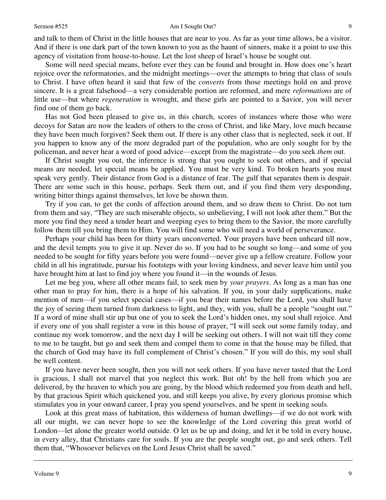#### Sermon #525 Am I Sought Out?

and talk to them of Christ in the little houses that are near to you. As far as your time allows, be a visitor. And if there is one dark part of the town known to you as the haunt of sinners, make it a point to use this agency of visitation from house-to-house. Let the lost sheep of Israel's house be sought out.

Some will need special means, before ever they can be found and brought in. How does one's heart rejoice over the reformatories, and the midnight meetings—over the attempts to bring that class of souls to Christ. I have often heard it said that few of the *converts* from those meetings hold on and prove sincere. It is a great falsehood—a very considerable portion are reformed, and mere *reformations* are of little use—but where *regeneration* is wrought, and these girls are pointed to a Savior, you will never find one of them go back.

Has not God been pleased to give us, in this church, scores of instances where those who were decoys for Satan are now the leaders of others to the cross of Christ, and like Mary, love much because they have been much forgiven? Seek them out. If there is any other class that is neglected, seek it out. If you happen to know any of the more degraded part of the population, who are only sought for by the policeman, and never hear a word of good advice—except from the magistrate—do you seek *them* out.

If Christ sought you out, the inference is strong that you ought to seek out others, and if special means are needed, let special means be applied. You must be very kind. To broken hearts you must speak very gently. Their distance from God is a distance of fear. The gulf that separates them is despair. There are some such in this house, perhaps. Seek them out, and if you find them very desponding, writing bitter things against themselves, let love be shown them.

Try if you can, to get the cords of affection around them, and so draw them to Christ. Do not turn from them and say, "They are such miserable objects, so unbelieving, I will not look after them." But the more you find they need a tender heart and weeping eyes to bring them to the Savior, the more carefully follow them till you bring them to Him. You will find some who will need a world of perseverance.

Perhaps your child has been for thirty years unconverted. Your prayers have been unheard till now, and the devil tempts you to give it up. Never do so. If you had to be sought so long—and some of you needed to be sought for fifty years before you were found—never give up a fellow creature. Follow your child in all his ingratitude, pursue his footsteps with your loving kindness, and never leave him until you have brought him at last to find joy where you found it—in the wounds of Jesus.

Let me beg you, where all other means fail, to seek men by *your prayers*. As long as a man has one other man to pray for him, there is a hope of his salvation. If you, in your daily supplications, make mention of men—if you select special cases—if you bear their names before the Lord, you shall have the joy of seeing them turned from darkness to light, and they, with you, shall be a people "sought out." If a word of mine shall stir up but one of you to seek the Lord's hidden ones, my soul shall rejoice. And if every one of you shall register a vow in this house of prayer, "I will seek out some family today, and continue my work tomorrow, and the next day I will be seeking out others. I will not wait till they come to me to be taught, but go and seek them and compel them to come in that the house may be filled, that the church of God may have its full complement of Christ's chosen." If you will do this, my soul shall be well content.

If you have never been sought, then you will not seek others. If you have never tasted that the Lord is gracious, I shall not marvel that you neglect this work. But oh! by the hell from which you are delivered, by the heaven to which you are going, by the blood which redeemed you from death and hell, by that gracious Spirit which quickened you, and still keeps you alive, by every glorious promise which stimulates you in your onward career, I pray you spend yourselves, and be spent in seeking souls.

Look at this great mass of habitation, this wilderness of human dwellings—if we do not work with all our might, we can never hope to see the knowledge of the Lord covering this great world of London—let alone the greater world outside. O let us be up and doing, and let it be told in every house, in every alley, that Christians care for souls. If you are the people sought out, go and seek others. Tell them that, "Whosoever believes on the Lord Jesus Christ shall be saved."